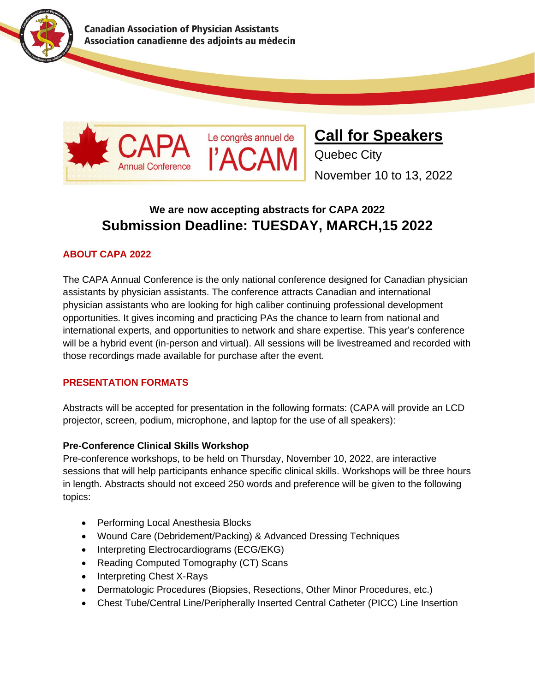

**Canadian Association of Physician Assistants** Association canadienne des adjoints au médecin



**Call for Speakers**

Quebec City November 10 to 13, 2022

# **We are now accepting abstracts for CAPA 2022 Submission Deadline: TUESDAY, MARCH,15 2022**

# **ABOUT CAPA 2022**

The CAPA Annual Conference is the only national conference designed for Canadian physician assistants by physician assistants. The conference attracts Canadian and international physician assistants who are looking for high caliber continuing professional development opportunities. It gives incoming and practicing PAs the chance to learn from national and international experts, and opportunities to network and share expertise. This year's conference will be a hybrid event (in-person and virtual). All sessions will be livestreamed and recorded with those recordings made available for purchase after the event.

#### **PRESENTATION FORMATS**

Abstracts will be accepted for presentation in the following formats: (CAPA will provide an LCD projector, screen, podium, microphone, and laptop for the use of all speakers):

# **Pre-Conference Clinical Skills Workshop**

Pre-conference workshops, to be held on Thursday, November 10, 2022, are interactive sessions that will help participants enhance specific clinical skills. Workshops will be three hours in length. Abstracts should not exceed 250 words and preference will be given to the following topics:

- Performing Local Anesthesia Blocks
- Wound Care (Debridement/Packing) & Advanced Dressing Techniques
- Interpreting Electrocardiograms (ECG/EKG)
- Reading Computed Tomography (CT) Scans
- Interpreting Chest X-Rays
- Dermatologic Procedures (Biopsies, Resections, Other Minor Procedures, etc.)
- Chest Tube/Central Line/Peripherally Inserted Central Catheter (PICC) Line Insertion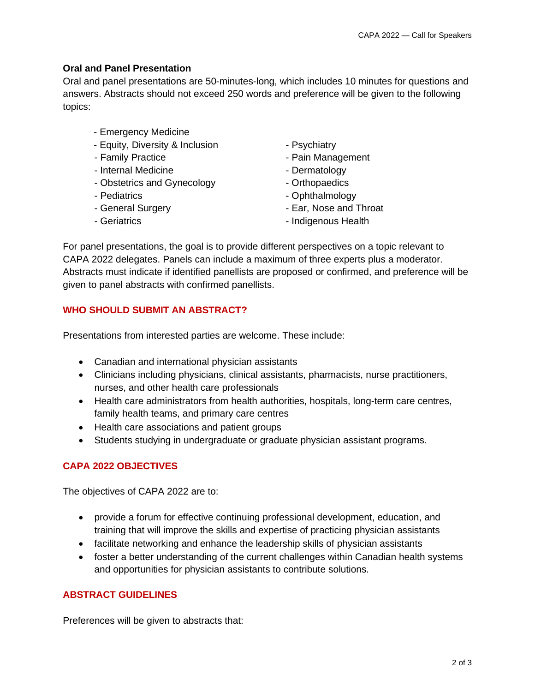#### **Oral and Panel Presentation**

Oral and panel presentations are 50-minutes-long, which includes 10 minutes for questions and answers. Abstracts should not exceed 250 words and preference will be given to the following topics:

- Emergency Medicine
- Equity, Diversity & Inclusion Psychiatry
- 
- Internal Medicine **Contract Contract Contract Contract Contract Contract Contract Contract Contract Contract Contract Contract Contract Contract Contract Contract Contract Contract Contract Contract Contract Contract Con**
- Obstetrics and Gynecology  **Orthopaedics**
- 
- 
- 
- 
- Family Practice  **Pain Management** 
	-
	-
- Pediatrics  **Ophthalmology**
- General Surgery **Contact Surgery Ear, Nose and Throat**
- Geriatrics **Contract Contract Contract Contract Contract Contract Contract Contract Contract Contract Contract Contract Contract Contract Contract Contract Contract Contract Contract Contract Contract Contract Contract C**

For panel presentations, the goal is to provide different perspectives on a topic relevant to CAPA 2022 delegates. Panels can include a maximum of three experts plus a moderator. Abstracts must indicate if identified panellists are proposed or confirmed, and preference will be given to panel abstracts with confirmed panellists.

# **WHO SHOULD SUBMIT AN ABSTRACT?**

Presentations from interested parties are welcome. These include:

- Canadian and international physician assistants
- Clinicians including physicians, clinical assistants, pharmacists, nurse practitioners, nurses, and other health care professionals
- Health care administrators from health authorities, hospitals, long-term care centres, family health teams, and primary care centres
- Health care associations and patient groups
- Students studying in undergraduate or graduate physician assistant programs.

# **CAPA 2022 OBJECTIVES**

The objectives of CAPA 2022 are to:

- provide a forum for effective continuing professional development, education, and training that will improve the skills and expertise of practicing physician assistants
- facilitate networking and enhance the leadership skills of physician assistants
- foster a better understanding of the current challenges within Canadian health systems and opportunities for physician assistants to contribute solutions.

# **ABSTRACT GUIDELINES**

Preferences will be given to abstracts that: